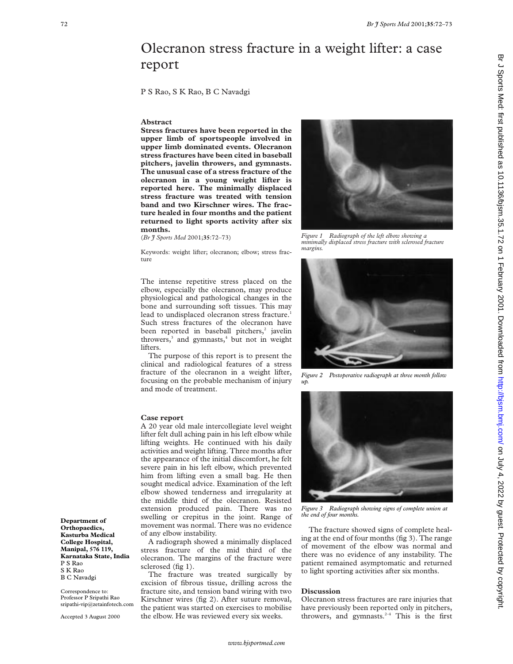# Olecranon stress fracture in a weight lifter: a case report

P S Rao, S K Rao, B C Navadgi

### **Abstract**

**Stress fractures have been reported in the upper limb of sportspeople involved in upper limb dominated events. Olecranon stress fractures have been cited in baseball pitchers, javelin throwers, and gymnasts. The unusual case of a stress fracture of the olecranon in a young weight lifter is reported here. The minimally displaced stress fracture was treated with tension band and two Kirschner wires. The fracture healed in four months and the patient returned to light sports activity after six months.**

(*Br J Sports Med* 2001;**35**:72–73)

Keywords: weight lifter; olecranon; elbow; stress fracture

The intense repetitive stress placed on the elbow, especially the olecranon, may produce physiological and pathological changes in the bone and surrounding soft tissues. This may lead to undisplaced olecranon stress fracture.<sup>1</sup> Such stress fractures of the olecranon have been reported in baseball pitchers,<sup>2</sup> javelin throwers,<sup>3</sup> and gymnasts,<sup>4</sup> but not in weight lifters.

The purpose of this report is to present the clinical and radiological features of a stress fracture of the olecranon in a weight lifter, focusing on the probable mechanism of injury and mode of treatment.

#### **Case report**

A 20 year old male intercollegiate level weight lifter felt dull aching pain in his left elbow while lifting weights. He continued with his daily activities and weight lifting. Three months after the appearance of the initial discomfort, he felt severe pain in his left elbow, which prevented him from lifting even a small bag. He then sought medical advice. Examination of the left elbow showed tenderness and irregularity at the middle third of the olecranon. Resisted extension produced pain. There was no swelling or crepitus in the joint. Range of movement was normal. There was no evidence of any elbow instability.

A radiograph showed a minimally displaced stress fracture of the mid third of the olecranon. The margins of the fracture were sclerosed (fig 1).

The fracture was treated surgically by excision of fibrous tissue, drilling across the fracture site, and tension band wiring with two Kirschner wires (fig 2). After suture removal, the patient was started on exercises to mobilise the elbow. He was reviewed every six weeks.



*Figure 1 Radiograph of the left elbow showing a minimally displaced stress fracture with sclerosed fracture margins.*



*Figure 2 Postoperative radiograph at three month follow up.*



*Figure 3 Radiograph showing signs of complete union at the end of four months.*

The fracture showed signs of complete healing at the end of four months (fig 3). The range of movement of the elbow was normal and there was no evidence of any instability. The patient remained asymptomatic and returned to light sporting activities after six months.

## **Discussion**

Olecranon stress fractures are rare injuries that have previously been reported only in pitchers, throwers, and gymnasts. $2-4$  This is the first

**Orthopaedics, Kasturba Medical College Hospital, Manipal, 576 119, Karnataka State, India** P S Rao S K Rao B C Navadgi

**Department of**

Correspondence to: Professor P Sripathi Rao sripathi-vip@zetainfotech.com

Accepted 3 August 2000